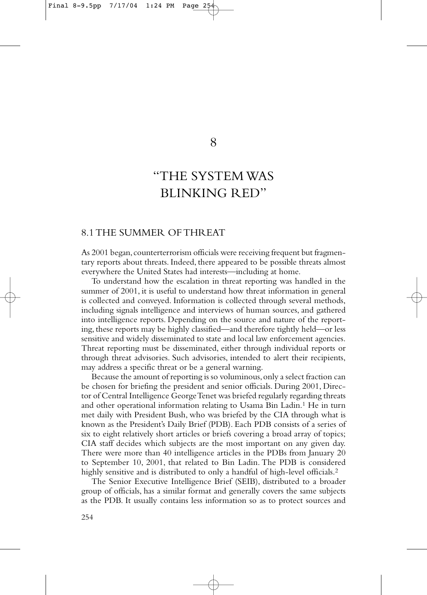8

# "THE SYSTEM WAS BLINKING RED"

# 8.1 THE SUMMER OF THREAT

As 2001 began,counterterrorism officials were receiving frequent but fragmentary reports about threats. Indeed, there appeared to be possible threats almost everywhere the United States had interests—including at home.

To understand how the escalation in threat reporting was handled in the summer of 2001, it is useful to understand how threat information in general is collected and conveyed. Information is collected through several methods, including signals intelligence and interviews of human sources, and gathered into intelligence reports. Depending on the source and nature of the reporting, these reports may be highly classified—and therefore tightly held—or less sensitive and widely disseminated to state and local law enforcement agencies. Threat reporting must be disseminated, either through individual reports or through threat advisories. Such advisories, intended to alert their recipients, may address a specific threat or be a general warning.

Because the amount of reporting is so voluminous,only a select fraction can be chosen for briefing the president and senior officials. During 2001, Director of Central Intelligence George Tenet was briefed regularly regarding threats and other operational information relating to Usama Bin Ladin.<sup>1</sup> He in turn met daily with President Bush, who was briefed by the CIA through what is known as the President's Daily Brief (PDB). Each PDB consists of a series of six to eight relatively short articles or briefs covering a broad array of topics; CIA staff decides which subjects are the most important on any given day. There were more than 40 intelligence articles in the PDBs from January 20 to September 10, 2001, that related to Bin Ladin. The PDB is considered highly sensitive and is distributed to only a handful of high-level officials.<sup>2</sup>

The Senior Executive Intelligence Brief (SEIB), distributed to a broader group of officials, has a similar format and generally covers the same subjects as the PDB. It usually contains less information so as to protect sources and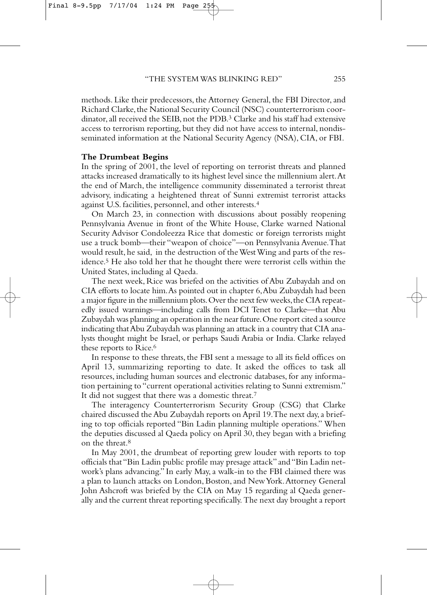methods. Like their predecessors, the Attorney General, the FBI Director, and Richard Clarke, the National Security Council (NSC) counterterrorism coordinator, all received the SEIB, not the PDB.3 Clarke and his staff had extensive access to terrorism reporting, but they did not have access to internal, nondisseminated information at the National Security Agency (NSA), CIA, or FBI.

#### **The Drumbeat Begins**

In the spring of 2001, the level of reporting on terrorist threats and planned attacks increased dramatically to its highest level since the millennium alert.At the end of March, the intelligence community disseminated a terrorist threat advisory, indicating a heightened threat of Sunni extremist terrorist attacks against U.S. facilities, personnel, and other interests.4

On March 23, in connection with discussions about possibly reopening Pennsylvania Avenue in front of the White House, Clarke warned National Security Advisor Condoleezza Rice that domestic or foreign terrorists might use a truck bomb—their "weapon of choice"—on Pennsylvania Avenue.That would result, he said, in the destruction of the West Wing and parts of the residence.5 He also told her that he thought there were terrorist cells within the United States, including al Qaeda.

The next week, Rice was briefed on the activities of Abu Zubaydah and on CIA efforts to locate him.As pointed out in chapter 6,Abu Zubaydah had been a major figure in the millennium plots. Over the next few weeks, the CIA repeatedly issued warnings—including calls from DCI Tenet to Clarke—that Abu Zubaydah was planning an operation in the near future.One report cited a source indicating that Abu Zubaydah was planning an attack in a country that CIA analysts thought might be Israel, or perhaps Saudi Arabia or India. Clarke relayed these reports to Rice.6

In response to these threats, the FBI sent a message to all its field offices on April 13, summarizing reporting to date. It asked the offices to task all resources, including human sources and electronic databases, for any information pertaining to "current operational activities relating to Sunni extremism." It did not suggest that there was a domestic threat.7

The interagency Counterterrorism Security Group (CSG) that Clarke chaired discussed the Abu Zubaydah reports on April 19.The next day,a briefing to top officials reported "Bin Ladin planning multiple operations." When the deputies discussed al Qaeda policy on April 30, they began with a briefing on the threat.8

In May 2001, the drumbeat of reporting grew louder with reports to top officials that "Bin Ladin public profile may presage attack"and "Bin Ladin network's plans advancing." In early May, a walk-in to the FBI claimed there was a plan to launch attacks on London, Boston, and New York.Attorney General John Ashcroft was briefed by the CIA on May 15 regarding al Qaeda generally and the current threat reporting specifically. The next day brought a report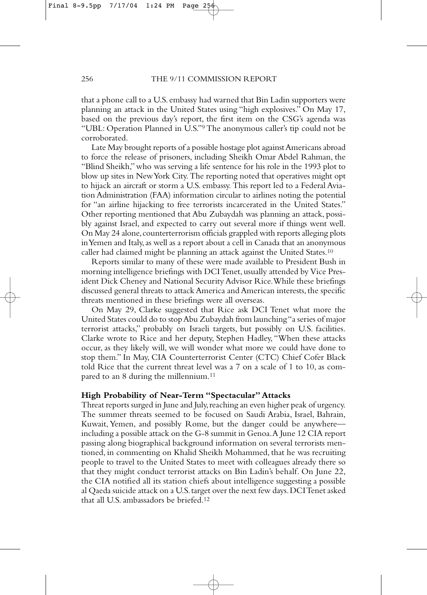that a phone call to a U.S. embassy had warned that Bin Ladin supporters were planning an attack in the United States using "high explosives." On May 17, based on the previous day's report, the first item on the CSG's agenda was "UBL: Operation Planned in U.S."9 The anonymous caller's tip could not be corroborated.

Late May brought reports of a possible hostage plot against Americans abroad to force the release of prisoners, including Sheikh Omar Abdel Rahman, the "Blind Sheikh," who was serving a life sentence for his role in the 1993 plot to blow up sites in New York City. The reporting noted that operatives might opt to hijack an aircraft or storm a U.S. embassy. This report led to a Federal Aviation Administration (FAA) information circular to airlines noting the potential for "an airline hijacking to free terrorists incarcerated in the United States." Other reporting mentioned that Abu Zubaydah was planning an attack, possibly against Israel, and expected to carry out several more if things went well. On May 24 alone, counterterrorism officials grappled with reports alleging plots in Yemen and Italy,as well as a report about a cell in Canada that an anonymous caller had claimed might be planning an attack against the United States.10

Reports similar to many of these were made available to President Bush in morning intelligence briefings with DCI Tenet, usually attended by Vice President Dick Cheney and National Security Advisor Rice.While these briefings discussed general threats to attack America and American interests, the specific threats mentioned in these briefings were all overseas.

On May 29, Clarke suggested that Rice ask DCI Tenet what more the United States could do to stop Abu Zubaydah from launching "a series of major terrorist attacks," probably on Israeli targets, but possibly on U.S. facilities. Clarke wrote to Rice and her deputy, Stephen Hadley, "When these attacks occur, as they likely will, we will wonder what more we could have done to stop them." In May, CIA Counterterrorist Center (CTC) Chief Cofer Black told Rice that the current threat level was a 7 on a scale of 1 to 10, as compared to an 8 during the millennium.11

#### **High Probability of Near-Term "Spectacular"Attacks**

Threat reports surged in June and July,reaching an even higher peak of urgency. The summer threats seemed to be focused on Saudi Arabia, Israel, Bahrain, Kuwait, Yemen, and possibly Rome, but the danger could be anywhere including a possible attack on the G-8 summit in Genoa.A June 12 CIA report passing along biographical background information on several terrorists mentioned, in commenting on Khalid Sheikh Mohammed, that he was recruiting people to travel to the United States to meet with colleagues already there so that they might conduct terrorist attacks on Bin Ladin's behalf. On June 22, the CIA notified all its station chiefs about intelligence suggesting a possible al Qaeda suicide attack on a U.S.target over the next few days.DCI Tenet asked that all U.S. ambassadors be briefed.12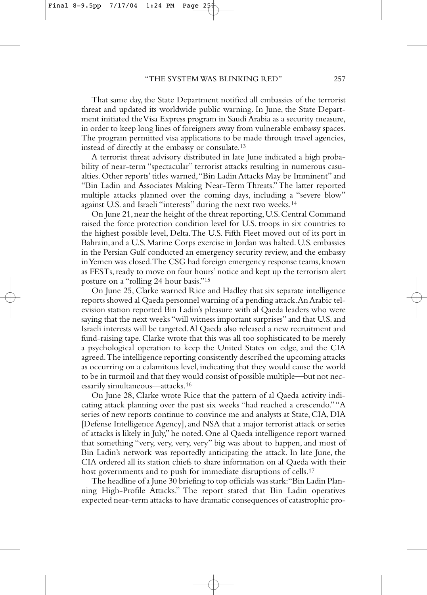That same day, the State Department notified all embassies of the terrorist threat and updated its worldwide public warning. In June, the State Department initiated the Visa Express program in Saudi Arabia as a security measure, in order to keep long lines of foreigners away from vulnerable embassy spaces. The program permitted visa applications to be made through travel agencies, instead of directly at the embassy or consulate.13

A terrorist threat advisory distributed in late June indicated a high probability of near-term "spectacular" terrorist attacks resulting in numerous casualties. Other reports' titles warned,"Bin Ladin Attacks May be Imminent" and "Bin Ladin and Associates Making Near-Term Threats." The latter reported multiple attacks planned over the coming days, including a "severe blow" against U.S. and Israeli "interests" during the next two weeks.14

On June 21, near the height of the threat reporting, U.S. Central Command raised the force protection condition level for U.S. troops in six countries to the highest possible level, Delta.The U.S. Fifth Fleet moved out of its port in Bahrain, and a U.S. Marine Corps exercise in Jordan was halted. U.S. embassies in the Persian Gulf conducted an emergency security review, and the embassy in Yemen was closed. The CSG had foreign emergency response teams, known as FESTs, ready to move on four hours' notice and kept up the terrorism alert posture on a "rolling 24 hour basis."15

On June 25, Clarke warned Rice and Hadley that six separate intelligence reports showed al Qaeda personnel warning of a pending attack.An Arabic television station reported Bin Ladin's pleasure with al Qaeda leaders who were saying that the next weeks "will witness important surprises" and that U.S. and Israeli interests will be targeted.Al Qaeda also released a new recruitment and fund-raising tape. Clarke wrote that this was all too sophisticated to be merely a psychological operation to keep the United States on edge, and the CIA agreed.The intelligence reporting consistently described the upcoming attacks as occurring on a calamitous level, indicating that they would cause the world to be in turmoil and that they would consist of possible multiple—but not necessarily simultaneous—attacks.16

On June 28, Clarke wrote Rice that the pattern of al Qaeda activity indicating attack planning over the past six weeks "had reached a crescendo.""A series of new reports continue to convince me and analysts at State, CIA, DIA [Defense Intelligence Agency], and NSA that a major terrorist attack or series of attacks is likely in July," he noted. One al Qaeda intelligence report warned that something "very, very, very, very" big was about to happen, and most of Bin Ladin's network was reportedly anticipating the attack. In late June, the CIA ordered all its station chiefs to share information on al Qaeda with their host governments and to push for immediate disruptions of cells.<sup>17</sup>

The headline of a June 30 briefing to top officials was stark:"Bin Ladin Planning High-Profile Attacks." The report stated that Bin Ladin operatives expected near-term attacks to have dramatic consequences of catastrophic pro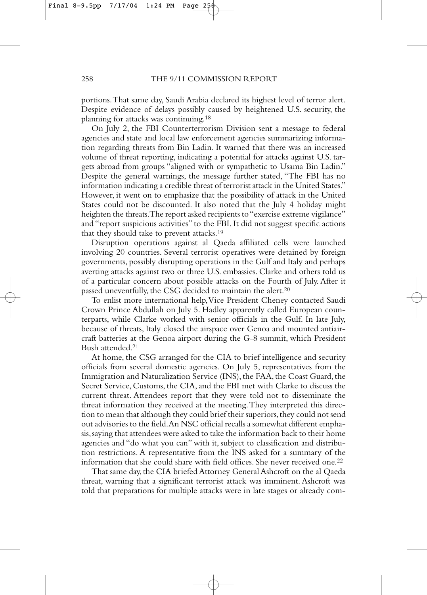portions.That same day, Saudi Arabia declared its highest level of terror alert. Despite evidence of delays possibly caused by heightened U.S. security, the planning for attacks was continuing.18

On July 2, the FBI Counterterrorism Division sent a message to federal agencies and state and local law enforcement agencies summarizing information regarding threats from Bin Ladin. It warned that there was an increased volume of threat reporting, indicating a potential for attacks against U.S. targets abroad from groups "aligned with or sympathetic to Usama Bin Ladin." Despite the general warnings, the message further stated, "The FBI has no information indicating a credible threat of terrorist attack in the United States." However, it went on to emphasize that the possibility of attack in the United States could not be discounted. It also noted that the July 4 holiday might heighten the threats.The report asked recipients to "exercise extreme vigilance" and "report suspicious activities" to the FBI. It did not suggest specific actions that they should take to prevent attacks.19

Disruption operations against al Qaeda–affiliated cells were launched involving 20 countries. Several terrorist operatives were detained by foreign governments, possibly disrupting operations in the Gulf and Italy and perhaps averting attacks against two or three U.S. embassies. Clarke and others told us of a particular concern about possible attacks on the Fourth of July. After it passed uneventfully, the CSG decided to maintain the alert.20

To enlist more international help,Vice President Cheney contacted Saudi Crown Prince Abdullah on July 5. Hadley apparently called European counterparts, while Clarke worked with senior officials in the Gulf. In late July, because of threats, Italy closed the airspace over Genoa and mounted antiaircraft batteries at the Genoa airport during the G-8 summit, which President Bush attended.21

At home, the CSG arranged for the CIA to brief intelligence and security officials from several domestic agencies. On July 5, representatives from the Immigration and Naturalization Service (INS), the FAA, the Coast Guard, the Secret Service, Customs, the CIA, and the FBI met with Clarke to discuss the current threat. Attendees report that they were told not to disseminate the threat information they received at the meeting.They interpreted this direction to mean that although they could brief their superiors, they could not send out advisories to the field.An NSC official recalls a somewhat different emphasis,saying that attendees were asked to take the information back to their home agencies and "do what you can" with it, subject to classification and distribution restrictions. A representative from the INS asked for a summary of the information that she could share with field offices. She never received one.22

That same day, the CIA briefed Attorney General Ashcroft on the al Qaeda threat, warning that a significant terrorist attack was imminent. Ashcroft was told that preparations for multiple attacks were in late stages or already com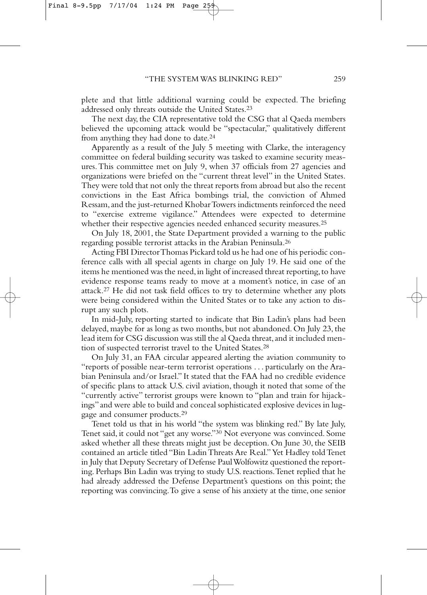plete and that little additional warning could be expected. The briefing addressed only threats outside the United States.23

The next day, the CIA representative told the CSG that al Qaeda members believed the upcoming attack would be "spectacular," qualitatively different from anything they had done to date.24

Apparently as a result of the July 5 meeting with Clarke, the interagency committee on federal building security was tasked to examine security measures.This committee met on July 9, when 37 officials from 27 agencies and organizations were briefed on the "current threat level" in the United States. They were told that not only the threat reports from abroad but also the recent convictions in the East Africa bombings trial, the conviction of Ahmed Ressam,and the just-returned Khobar Towers indictments reinforced the need to "exercise extreme vigilance." Attendees were expected to determine whether their respective agencies needed enhanced security measures.<sup>25</sup>

On July 18, 2001, the State Department provided a warning to the public regarding possible terrorist attacks in the Arabian Peninsula.26

Acting FBI Director Thomas Pickard told us he had one of his periodic conference calls with all special agents in charge on July 19. He said one of the items he mentioned was the need, in light of increased threat reporting, to have evidence response teams ready to move at a moment's notice, in case of an attack.27 He did not task field offices to try to determine whether any plots were being considered within the United States or to take any action to disrupt any such plots.

In mid-July, reporting started to indicate that Bin Ladin's plans had been delayed, maybe for as long as two months, but not abandoned. On July 23, the lead item for CSG discussion was still the al Qaeda threat,and it included mention of suspected terrorist travel to the United States.28

On July 31, an FAA circular appeared alerting the aviation community to "reports of possible near-term terrorist operations . . . particularly on the Arabian Peninsula and/or Israel." It stated that the FAA had no credible evidence of specific plans to attack U.S. civil aviation, though it noted that some of the "currently active" terrorist groups were known to "plan and train for hijackings"and were able to build and conceal sophisticated explosive devices in luggage and consumer products.29

Tenet told us that in his world "the system was blinking red." By late July, Tenet said, it could not "get any worse."30 Not everyone was convinced. Some asked whether all these threats might just be deception. On June 30, the SEIB contained an article titled "Bin Ladin Threats Are Real."Yet Hadley told Tenet in July that Deputy Secretary of Defense Paul Wolfowitz questioned the reporting. Perhaps Bin Ladin was trying to study U.S. reactions.Tenet replied that he had already addressed the Defense Department's questions on this point; the reporting was convincing.To give a sense of his anxiety at the time, one senior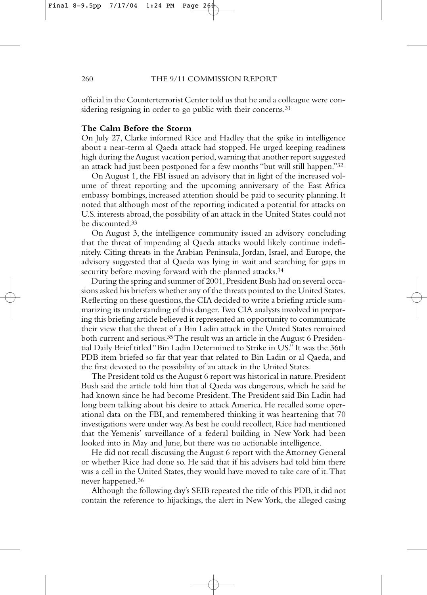official in the Counterterrorist Center told us that he and a colleague were considering resigning in order to go public with their concerns.<sup>31</sup>

# **The Calm Before the Storm**

On July 27, Clarke informed Rice and Hadley that the spike in intelligence about a near-term al Qaeda attack had stopped. He urged keeping readiness high during the August vacation period,warning that another report suggested an attack had just been postponed for a few months "but will still happen."32

On August 1, the FBI issued an advisory that in light of the increased volume of threat reporting and the upcoming anniversary of the East Africa embassy bombings, increased attention should be paid to security planning. It noted that although most of the reporting indicated a potential for attacks on U.S. interests abroad, the possibility of an attack in the United States could not be discounted.33

On August 3, the intelligence community issued an advisory concluding that the threat of impending al Qaeda attacks would likely continue indefinitely. Citing threats in the Arabian Peninsula, Jordan, Israel, and Europe, the advisory suggested that al Qaeda was lying in wait and searching for gaps in security before moving forward with the planned attacks.<sup>34</sup>

During the spring and summer of 2001, President Bush had on several occasions asked his briefers whether any of the threats pointed to the United States. Reflecting on these questions,the CIA decided to write a briefing article summarizing its understanding of this danger.Two CIA analysts involved in preparing this briefing article believed it represented an opportunity to communicate their view that the threat of a Bin Ladin attack in the United States remained both current and serious.35The result was an article in the August 6 Presidential Daily Brief titled "Bin Ladin Determined to Strike in US." It was the 36th PDB item briefed so far that year that related to Bin Ladin or al Qaeda, and the first devoted to the possibility of an attack in the United States.

The President told us the August 6 report was historical in nature. President Bush said the article told him that al Qaeda was dangerous, which he said he had known since he had become President. The President said Bin Ladin had long been talking about his desire to attack America. He recalled some operational data on the FBI, and remembered thinking it was heartening that 70 investigations were under way.As best he could recollect, Rice had mentioned that the Yemenis' surveillance of a federal building in New York had been looked into in May and June, but there was no actionable intelligence.

He did not recall discussing the August 6 report with the Attorney General or whether Rice had done so. He said that if his advisers had told him there was a cell in the United States, they would have moved to take care of it.That never happened.36

Although the following day's SEIB repeated the title of this PDB, it did not contain the reference to hijackings, the alert in New York, the alleged casing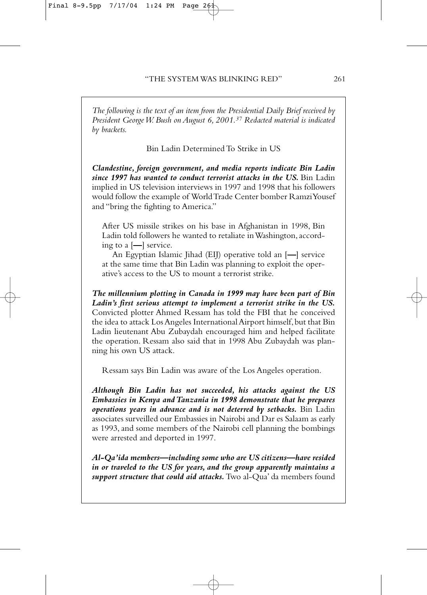*The following is the text of an item from the Presidential Daily Brief received by President George W. Bush on August 6, 2001.37 Redacted material is indicated by brackets.*

Bin Ladin Determined To Strike in US

*Clandestine, foreign government, and media reports indicate Bin Ladin since 1997 has wanted to conduct terrorist attacks in the US.* Bin Ladin implied in US television interviews in 1997 and 1998 that his followers would follow the example of World Trade Center bomber Ramzi Yousef and "bring the fighting to America."

After US missile strikes on his base in Afghanistan in 1998, Bin Ladin told followers he wanted to retaliate in Washington, according to a [—] service.

An Egyptian Islamic Jihad (EIJ) operative told an [—] service at the same time that Bin Ladin was planning to exploit the operative's access to the US to mount a terrorist strike.

*The millennium plotting in Canada in 1999 may have been part of Bin Ladin's first serious attempt to implement a terrorist strike in the US.* Convicted plotter Ahmed Ressam has told the FBI that he conceived the idea to attack Los Angeles International Airport himself, but that Bin Ladin lieutenant Abu Zubaydah encouraged him and helped facilitate the operation. Ressam also said that in 1998 Abu Zubaydah was planning his own US attack.

Ressam says Bin Ladin was aware of the Los Angeles operation.

*Although Bin Ladin has not succeeded, his attacks against the US Embassies in Kenya and Tanzania in 1998 demonstrate that he prepares operations years in advance and is not deterred by setbacks.* Bin Ladin associates surveilled our Embassies in Nairobi and Dar es Salaam as early as 1993, and some members of the Nairobi cell planning the bombings were arrested and deported in 1997.

*Al-Qa'ida members—including some who are US citizens—have resided in or traveled to the US for years, and the group apparently maintains a support structure that could aid attacks.*Two al-Qua' da members found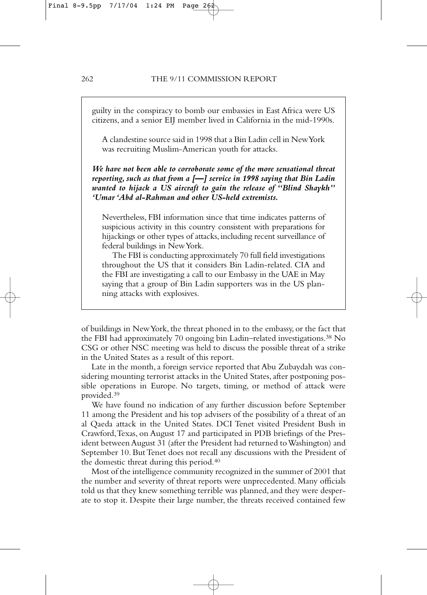guilty in the conspiracy to bomb our embassies in East Africa were US citizens, and a senior EIJ member lived in California in the mid-1990s.

A clandestine source said in 1998 that a Bin Ladin cell in New York was recruiting Muslim-American youth for attacks.

*We have not been able to corroborate some of the more sensational threat reporting, such as that from a [—] service in 1998 saying that Bin Ladin wanted to hijack a US aircraft to gain the release of "Blind Shaykh" 'Umar 'Abd al-Rahman and other US-held extremists.*

Nevertheless, FBI information since that time indicates patterns of suspicious activity in this country consistent with preparations for hijackings or other types of attacks, including recent surveillance of federal buildings in New York.

The FBI is conducting approximately 70 full field investigations throughout the US that it considers Bin Ladin-related. CIA and the FBI are investigating a call to our Embassy in the UAE in May saying that a group of Bin Ladin supporters was in the US planning attacks with explosives.

of buildings in New York, the threat phoned in to the embassy, or the fact that the FBI had approximately 70 ongoing bin Ladin–related investigations.38 No CSG or other NSC meeting was held to discuss the possible threat of a strike in the United States as a result of this report.

Late in the month, a foreign service reported that Abu Zubaydah was considering mounting terrorist attacks in the United States, after postponing possible operations in Europe. No targets, timing, or method of attack were provided.39

We have found no indication of any further discussion before September 11 among the President and his top advisers of the possibility of a threat of an al Qaeda attack in the United States. DCI Tenet visited President Bush in Crawford,Texas, on August 17 and participated in PDB briefings of the President between August 31 (after the President had returned to Washington) and September 10. But Tenet does not recall any discussions with the President of the domestic threat during this period.40

Most of the intelligence community recognized in the summer of 2001 that the number and severity of threat reports were unprecedented. Many officials told us that they knew something terrible was planned, and they were desperate to stop it. Despite their large number, the threats received contained few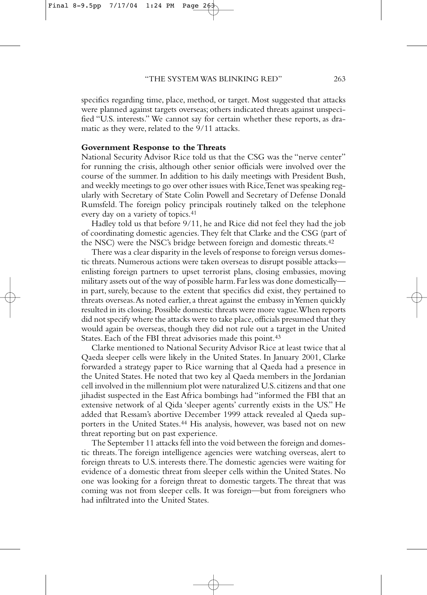specifics regarding time, place, method, or target. Most suggested that attacks were planned against targets overseas; others indicated threats against unspecified "U.S. interests." We cannot say for certain whether these reports, as dramatic as they were, related to the 9/11 attacks.

#### **Government Response to the Threats**

National Security Advisor Rice told us that the CSG was the "nerve center" for running the crisis, although other senior officials were involved over the course of the summer. In addition to his daily meetings with President Bush, and weekly meetings to go over other issues with Rice,Tenet was speaking regularly with Secretary of State Colin Powell and Secretary of Defense Donald Rumsfeld. The foreign policy principals routinely talked on the telephone every day on a variety of topics.41

Hadley told us that before 9/11, he and Rice did not feel they had the job of coordinating domestic agencies.They felt that Clarke and the CSG (part of the NSC) were the NSC's bridge between foreign and domestic threats.42

There was a clear disparity in the levels of response to foreign versus domestic threats. Numerous actions were taken overseas to disrupt possible attacks enlisting foreign partners to upset terrorist plans, closing embassies, moving military assets out of the way of possible harm.Far less was done domestically in part, surely, because to the extent that specifics did exist, they pertained to threats overseas. As noted earlier, a threat against the embassy in Yemen quickly resulted in its closing.Possible domestic threats were more vague.When reports did not specify where the attacks were to take place,officials presumed that they would again be overseas, though they did not rule out a target in the United States. Each of the FBI threat advisories made this point.<sup>43</sup>

Clarke mentioned to National Security Advisor Rice at least twice that al Qaeda sleeper cells were likely in the United States. In January 2001, Clarke forwarded a strategy paper to Rice warning that al Qaeda had a presence in the United States. He noted that two key al Qaeda members in the Jordanian cell involved in the millennium plot were naturalized U.S.citizens and that one jihadist suspected in the East Africa bombings had "informed the FBI that an extensive network of al Qida 'sleeper agents' currently exists in the US." He added that Ressam's abortive December 1999 attack revealed al Qaeda supporters in the United States.44 His analysis, however, was based not on new threat reporting but on past experience.

The September 11 attacks fell into the void between the foreign and domestic threats.The foreign intelligence agencies were watching overseas, alert to foreign threats to U.S. interests there.The domestic agencies were waiting for evidence of a domestic threat from sleeper cells within the United States. No one was looking for a foreign threat to domestic targets.The threat that was coming was not from sleeper cells. It was foreign—but from foreigners who had infiltrated into the United States.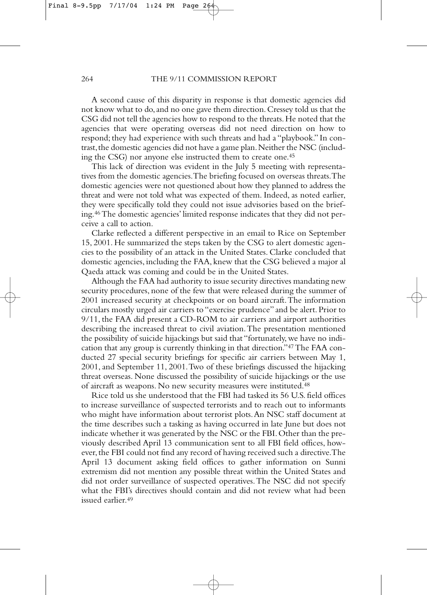A second cause of this disparity in response is that domestic agencies did not know what to do,and no one gave them direction.Cressey told us that the CSG did not tell the agencies how to respond to the threats.He noted that the agencies that were operating overseas did not need direction on how to respond; they had experience with such threats and had a "playbook." In contrast, the domestic agencies did not have a game plan. Neither the NSC (including the CSG) nor anyone else instructed them to create one.45

This lack of direction was evident in the July 5 meeting with representatives from the domestic agencies.The briefing focused on overseas threats.The domestic agencies were not questioned about how they planned to address the threat and were not told what was expected of them. Indeed, as noted earlier, they were specifically told they could not issue advisories based on the briefing.46The domestic agencies' limited response indicates that they did not perceive a call to action.

Clarke reflected a different perspective in an email to Rice on September 15, 2001. He summarized the steps taken by the CSG to alert domestic agencies to the possibility of an attack in the United States. Clarke concluded that domestic agencies, including the FAA, knew that the CSG believed a major al Qaeda attack was coming and could be in the United States.

Although the FAA had authority to issue security directives mandating new security procedures, none of the few that were released during the summer of 2001 increased security at checkpoints or on board aircraft.The information circulars mostly urged air carriers to "exercise prudence" and be alert. Prior to 9/11, the FAA did present a CD-ROM to air carriers and airport authorities describing the increased threat to civil aviation.The presentation mentioned the possibility of suicide hijackings but said that "fortunately, we have no indication that any group is currently thinking in that direction."47The FAA conducted 27 special security briefings for specific air carriers between May 1, 2001, and September 11, 2001.Two of these briefings discussed the hijacking threat overseas. None discussed the possibility of suicide hijackings or the use of aircraft as weapons. No new security measures were instituted.48

Rice told us she understood that the FBI had tasked its 56 U.S. field offices to increase surveillance of suspected terrorists and to reach out to informants who might have information about terrorist plots.An NSC staff document at the time describes such a tasking as having occurred in late June but does not indicate whether it was generated by the NSC or the FBI.Other than the previously described April 13 communication sent to all FBI field offices, however, the FBI could not find any record of having received such a directive. The April 13 document asking field offices to gather information on Sunni extremism did not mention any possible threat within the United States and did not order surveillance of suspected operatives.The NSC did not specify what the FBI's directives should contain and did not review what had been issued earlier.49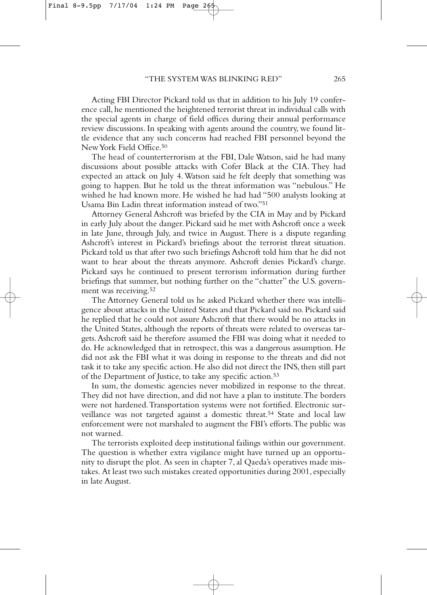Acting FBI Director Pickard told us that in addition to his July 19 conference call, he mentioned the heightened terrorist threat in individual calls with the special agents in charge of field offices during their annual performance review discussions. In speaking with agents around the country, we found little evidence that any such concerns had reached FBI personnel beyond the New York Field Office.50

The head of counterterrorism at the FBI, Dale Watson, said he had many discussions about possible attacks with Cofer Black at the CIA. They had expected an attack on July 4.Watson said he felt deeply that something was going to happen. But he told us the threat information was "nebulous." He wished he had known more. He wished he had had "500 analysts looking at Usama Bin Ladin threat information instead of two."51

Attorney General Ashcroft was briefed by the CIA in May and by Pickard in early July about the danger. Pickard said he met with Ashcroft once a week in late June, through July, and twice in August. There is a dispute regarding Ashcroft's interest in Pickard's briefings about the terrorist threat situation. Pickard told us that after two such briefings Ashcroft told him that he did not want to hear about the threats anymore. Ashcroft denies Pickard's charge. Pickard says he continued to present terrorism information during further briefings that summer, but nothing further on the "chatter" the U.S. government was receiving.52

The Attorney General told us he asked Pickard whether there was intelligence about attacks in the United States and that Pickard said no. Pickard said he replied that he could not assure Ashcroft that there would be no attacks in the United States, although the reports of threats were related to overseas targets.Ashcroft said he therefore assumed the FBI was doing what it needed to do. He acknowledged that in retrospect, this was a dangerous assumption. He did not ask the FBI what it was doing in response to the threats and did not task it to take any specific action. He also did not direct the INS, then still part of the Department of Justice, to take any specific action.53

In sum, the domestic agencies never mobilized in response to the threat. They did not have direction, and did not have a plan to institute.The borders were not hardened.Transportation systems were not fortified. Electronic surveillance was not targeted against a domestic threat.54 State and local law enforcement were not marshaled to augment the FBI's efforts.The public was not warned.

The terrorists exploited deep institutional failings within our government. The question is whether extra vigilance might have turned up an opportunity to disrupt the plot. As seen in chapter 7, al Qaeda's operatives made mistakes. At least two such mistakes created opportunities during 2001, especially in late August.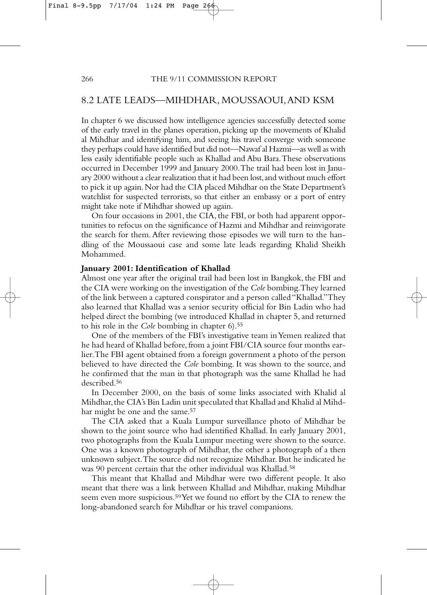# 8.2 LATE LEADS—MIHDHAR, MOUSSAOUI,AND KSM

In chapter 6 we discussed how intelligence agencies successfully detected some of the early travel in the planes operation, picking up the movements of Khalid al Mihdhar and identifying him, and seeing his travel converge with someone they perhaps could have identified but did not—Nawaf al Hazmi—as well as with less easily identifiable people such as Khallad and Abu Bara.These observations occurred in December 1999 and January 2000.The trail had been lost in January 2000 without a clear realization that it had been lost, and without much effort to pick it up again. Nor had the CIA placed Mihdhar on the State Department's watchlist for suspected terrorists, so that either an embassy or a port of entry might take note if Mihdhar showed up again.

On four occasions in 2001, the CIA, the FBI, or both had apparent opportunities to refocus on the significance of Hazmi and Mihdhar and reinvigorate the search for them.After reviewing those episodes we will turn to the handling of the Moussaoui case and some late leads regarding Khalid Sheikh Mohammed.

## **January 2001: Identification of Khallad**

Almost one year after the original trail had been lost in Bangkok, the FBI and the CIA were working on the investigation of the *Cole* bombing.They learned of the link between a captured conspirator and a person called "Khallad."They also learned that Khallad was a senior security official for Bin Ladin who had helped direct the bombing (we introduced Khallad in chapter 5, and returned to his role in the *Cole* bombing in chapter 6).55

One of the members of the FBI's investigative team in Yemen realized that he had heard of Khallad before, from a joint FBI/CIA source four months earlier.The FBI agent obtained from a foreign government a photo of the person believed to have directed the *Cole* bombing. It was shown to the source, and he confirmed that the man in that photograph was the same Khallad he had described.56

In December 2000, on the basis of some links associated with Khalid al Mihdhar, the CIA's Bin Ladin unit speculated that Khallad and Khalid al Mihdhar might be one and the same.57

The CIA asked that a Kuala Lumpur surveillance photo of Mihdhar be shown to the joint source who had identified Khallad. In early January 2001, two photographs from the Kuala Lumpur meeting were shown to the source. One was a known photograph of Mihdhar, the other a photograph of a then unknown subject.The source did not recognize Mihdhar. But he indicated he was 90 percent certain that the other individual was Khallad.58

This meant that Khallad and Mihdhar were two different people. It also meant that there was a link between Khallad and Mihdhar, making Mihdhar seem even more suspicious.59Yet we found no effort by the CIA to renew the long-abandoned search for Mihdhar or his travel companions.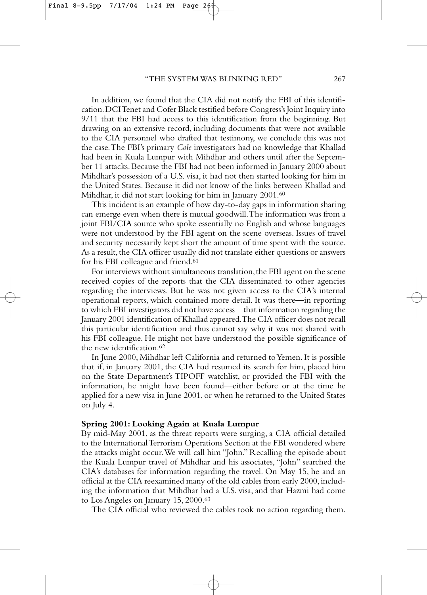In addition, we found that the CIA did not notify the FBI of this identification.DCI Tenet and Cofer Black testified before Congress's Joint Inquiry into 9/11 that the FBI had access to this identification from the beginning. But drawing on an extensive record, including documents that were not available to the CIA personnel who drafted that testimony, we conclude this was not the case.The FBI's primary *Cole* investigators had no knowledge that Khallad had been in Kuala Lumpur with Mihdhar and others until after the September 11 attacks. Because the FBI had not been informed in January 2000 about Mihdhar's possession of a U.S. visa, it had not then started looking for him in the United States. Because it did not know of the links between Khallad and Mihdhar, it did not start looking for him in January 2001.60

This incident is an example of how day-to-day gaps in information sharing can emerge even when there is mutual goodwill.The information was from a joint FBI/CIA source who spoke essentially no English and whose languages were not understood by the FBI agent on the scene overseas. Issues of travel and security necessarily kept short the amount of time spent with the source. As a result, the CIA officer usually did not translate either questions or answers for his FBI colleague and friend.61

For interviews without simultaneous translation, the FBI agent on the scene received copies of the reports that the CIA disseminated to other agencies regarding the interviews. But he was not given access to the CIA's internal operational reports, which contained more detail. It was there—in reporting to which FBI investigators did not have access—that information regarding the January 2001 identification of Khallad appeared.The CIA officer does not recall this particular identification and thus cannot say why it was not shared with his FBI colleague. He might not have understood the possible significance of the new identification.62

In June 2000, Mihdhar left California and returned to Yemen. It is possible that if, in January 2001, the CIA had resumed its search for him, placed him on the State Department's TIPOFF watchlist, or provided the FBI with the information, he might have been found—either before or at the time he applied for a new visa in June 2001, or when he returned to the United States on July 4.

## **Spring 2001: Looking Again at Kuala Lumpur**

By mid-May 2001, as the threat reports were surging, a CIA official detailed to the International Terrorism Operations Section at the FBI wondered where the attacks might occur.We will call him "John." Recalling the episode about the Kuala Lumpur travel of Mihdhar and his associates, "John" searched the CIA's databases for information regarding the travel. On May 15, he and an official at the CIA reexamined many of the old cables from early 2000, including the information that Mihdhar had a U.S. visa, and that Hazmi had come to Los Angeles on January 15, 2000.63

The CIA official who reviewed the cables took no action regarding them.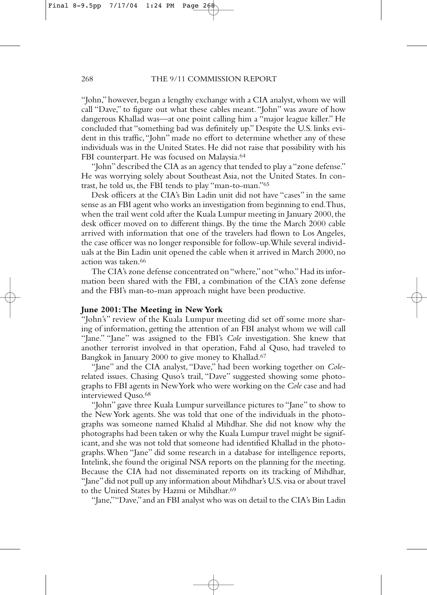"John," however, began a lengthy exchange with a CIA analyst, whom we will call "Dave," to figure out what these cables meant."John" was aware of how dangerous Khallad was—at one point calling him a "major league killer." He concluded that "something bad was definitely up." Despite the U.S. links evident in this traffic,"John" made no effort to determine whether any of these individuals was in the United States. He did not raise that possibility with his FBI counterpart. He was focused on Malaysia.<sup>64</sup>

"John"described the CIA as an agency that tended to play a "zone defense." He was worrying solely about Southeast Asia, not the United States. In contrast, he told us, the FBI tends to play "man-to-man."65

Desk officers at the CIA's Bin Ladin unit did not have "cases" in the same sense as an FBI agent who works an investigation from beginning to end.Thus, when the trail went cold after the Kuala Lumpur meeting in January 2000, the desk officer moved on to different things. By the time the March 2000 cable arrived with information that one of the travelers had flown to Los Angeles, the case officer was no longer responsible for follow-up.While several individuals at the Bin Ladin unit opened the cable when it arrived in March 2000, no action was taken.66

The CIA's zone defense concentrated on "where,"not "who."Had its information been shared with the FBI, a combination of the CIA's zone defense and the FBI's man-to-man approach might have been productive.

# **June 2001:The Meeting in New York**

"John's" review of the Kuala Lumpur meeting did set off some more sharing of information, getting the attention of an FBI analyst whom we will call "Jane." "Jane" was assigned to the FBI's *Cole* investigation. She knew that another terrorist involved in that operation, Fahd al Quso, had traveled to Bangkok in January 2000 to give money to Khallad.67

"Jane" and the CIA analyst,"Dave," had been working together on *Cole*related issues. Chasing Quso's trail, "Dave" suggested showing some photographs to FBI agents in New York who were working on the *Cole* case and had interviewed Quso.68

"John" gave three Kuala Lumpur surveillance pictures to "Jane" to show to the New York agents. She was told that one of the individuals in the photographs was someone named Khalid al Mihdhar. She did not know why the photographs had been taken or why the Kuala Lumpur travel might be significant, and she was not told that someone had identified Khallad in the photographs.When "Jane" did some research in a database for intelligence reports, Intelink, she found the original NSA reports on the planning for the meeting. Because the CIA had not disseminated reports on its tracking of Mihdhar, "Jane" did not pull up any information about Mihdhar's U.S. visa or about travel to the United States by Hazmi or Mihdhar.<sup>69</sup>

"Jane,""Dave,"and an FBI analyst who was on detail to the CIA's Bin Ladin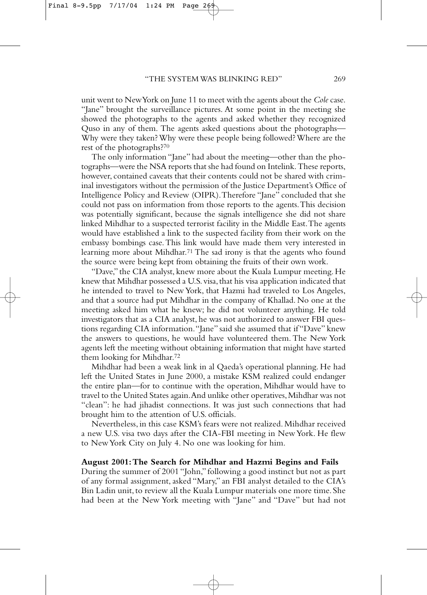unit went to New York on June 11 to meet with the agents about the *Cole* case. "Jane" brought the surveillance pictures. At some point in the meeting she showed the photographs to the agents and asked whether they recognized Quso in any of them. The agents asked questions about the photographs— Why were they taken? Why were these people being followed? Where are the rest of the photographs?70

The only information "Jane" had about the meeting—other than the photographs—were the NSA reports that she had found on Intelink.These reports, however, contained caveats that their contents could not be shared with criminal investigators without the permission of the Justice Department's Office of Intelligence Policy and Review (OIPR).Therefore "Jane" concluded that she could not pass on information from those reports to the agents.This decision was potentially significant, because the signals intelligence she did not share linked Mihdhar to a suspected terrorist facility in the Middle East.The agents would have established a link to the suspected facility from their work on the embassy bombings case.This link would have made them very interested in learning more about Mihdhar.71 The sad irony is that the agents who found the source were being kept from obtaining the fruits of their own work.

"Dave," the CIA analyst, knew more about the Kuala Lumpur meeting. He knew that Mihdhar possessed a U.S. visa, that his visa application indicated that he intended to travel to New York, that Hazmi had traveled to Los Angeles, and that a source had put Mihdhar in the company of Khallad. No one at the meeting asked him what he knew; he did not volunteer anything. He told investigators that as a CIA analyst, he was not authorized to answer FBI questions regarding CIA information."Jane" said she assumed that if "Dave" knew the answers to questions, he would have volunteered them. The New York agents left the meeting without obtaining information that might have started them looking for Mihdhar.72

Mihdhar had been a weak link in al Qaeda's operational planning. He had left the United States in June 2000, a mistake KSM realized could endanger the entire plan—for to continue with the operation, Mihdhar would have to travel to the United States again.And unlike other operatives,Mihdhar was not "clean": he had jihadist connections. It was just such connections that had brought him to the attention of U.S. officials.

Nevertheless, in this case KSM's fears were not realized. Mihdhar received a new U.S. visa two days after the CIA-FBI meeting in New York. He flew to New York City on July 4. No one was looking for him.

#### **August 2001:The Search for Mihdhar and Hazmi Begins and Fails**

During the summer of 2001 "John," following a good instinct but not as part of any formal assignment, asked "Mary," an FBI analyst detailed to the CIA's Bin Ladin unit, to review all the Kuala Lumpur materials one more time. She had been at the New York meeting with "Jane" and "Dave" but had not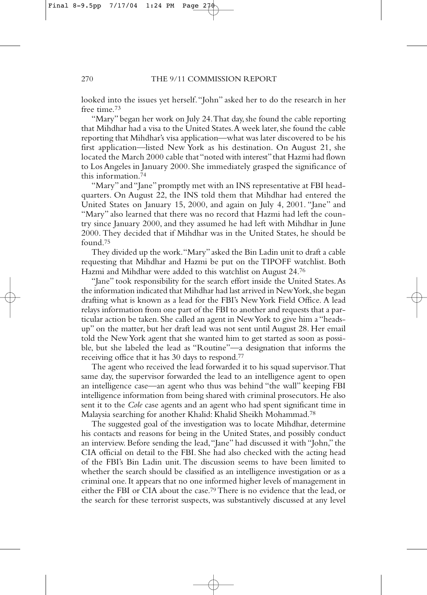looked into the issues yet herself."John" asked her to do the research in her free time.73

"Mary" began her work on July 24.That day, she found the cable reporting that Mihdhar had a visa to the United States.A week later, she found the cable reporting that Mihdhar's visa application—what was later discovered to be his first application—listed New York as his destination. On August 21, she located the March 2000 cable that "noted with interest" that Hazmi had flown to Los Angeles in January 2000. She immediately grasped the significance of this information.74

"Mary" and "Jane" promptly met with an INS representative at FBI headquarters. On August 22, the INS told them that Mihdhar had entered the United States on January 15, 2000, and again on July 4, 2001. "Jane" and "Mary" also learned that there was no record that Hazmi had left the country since January 2000, and they assumed he had left with Mihdhar in June 2000. They decided that if Mihdhar was in the United States, he should be found.75

They divided up the work."Mary"asked the Bin Ladin unit to draft a cable requesting that Mihdhar and Hazmi be put on the TIPOFF watchlist. Both Hazmi and Mihdhar were added to this watchlist on August 24.76

"Jane" took responsibility for the search effort inside the United States.As the information indicated that Mihdhar had last arrived in New York, she began drafting what is known as a lead for the FBI's New York Field Office. A lead relays information from one part of the FBI to another and requests that a particular action be taken. She called an agent in New York to give him a "headsup" on the matter, but her draft lead was not sent until August 28. Her email told the New York agent that she wanted him to get started as soon as possible, but she labeled the lead as "Routine"—a designation that informs the receiving office that it has 30 days to respond.77

The agent who received the lead forwarded it to his squad supervisor.That same day, the supervisor forwarded the lead to an intelligence agent to open an intelligence case—an agent who thus was behind "the wall" keeping FBI intelligence information from being shared with criminal prosecutors. He also sent it to the *Cole* case agents and an agent who had spent significant time in Malaysia searching for another Khalid: Khalid Sheikh Mohammad.78

The suggested goal of the investigation was to locate Mihdhar, determine his contacts and reasons for being in the United States, and possibly conduct an interview. Before sending the lead,"Jane" had discussed it with "John," the CIA official on detail to the FBI. She had also checked with the acting head of the FBI's Bin Ladin unit. The discussion seems to have been limited to whether the search should be classified as an intelligence investigation or as a criminal one. It appears that no one informed higher levels of management in either the FBI or CIA about the case.79There is no evidence that the lead, or the search for these terrorist suspects, was substantively discussed at any level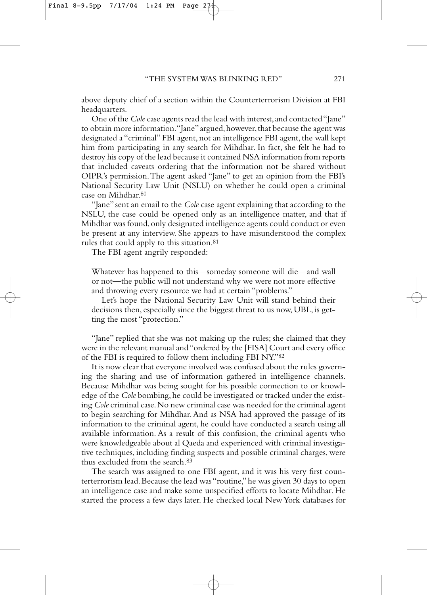above deputy chief of a section within the Counterterrorism Division at FBI headquarters.

One of the *Cole* case agents read the lead with interest,and contacted "Jane" to obtain more information."Jane"argued,however,that because the agent was designated a "criminal" FBI agent, not an intelligence FBI agent, the wall kept him from participating in any search for Mihdhar. In fact, she felt he had to destroy his copy of the lead because it contained NSA information from reports that included caveats ordering that the information not be shared without OIPR's permission.The agent asked "Jane" to get an opinion from the FBI's National Security Law Unit (NSLU) on whether he could open a criminal case on Mihdhar.80

"Jane" sent an email to the *Cole* case agent explaining that according to the NSLU, the case could be opened only as an intelligence matter, and that if Mihdhar was found,only designated intelligence agents could conduct or even be present at any interview. She appears to have misunderstood the complex rules that could apply to this situation.<sup>81</sup>

The FBI agent angrily responded:

Whatever has happened to this—someday someone will die—and wall or not—the public will not understand why we were not more effective and throwing every resource we had at certain "problems."

Let's hope the National Security Law Unit will stand behind their decisions then, especially since the biggest threat to us now, UBL, is getting the most "protection."

"Jane" replied that she was not making up the rules; she claimed that they were in the relevant manual and "ordered by the [FISA] Court and every office of the FBI is required to follow them including FBI NY."82

It is now clear that everyone involved was confused about the rules governing the sharing and use of information gathered in intelligence channels. Because Mihdhar was being sought for his possible connection to or knowledge of the *Cole* bombing, he could be investigated or tracked under the existing *Cole* criminal case.No new criminal case was needed for the criminal agent to begin searching for Mihdhar.And as NSA had approved the passage of its information to the criminal agent, he could have conducted a search using all available information. As a result of this confusion, the criminal agents who were knowledgeable about al Qaeda and experienced with criminal investigative techniques, including finding suspects and possible criminal charges, were thus excluded from the search.83

The search was assigned to one FBI agent, and it was his very first counterterrorism lead.Because the lead was "routine,"he was given 30 days to open an intelligence case and make some unspecified efforts to locate Mihdhar. He started the process a few days later. He checked local New York databases for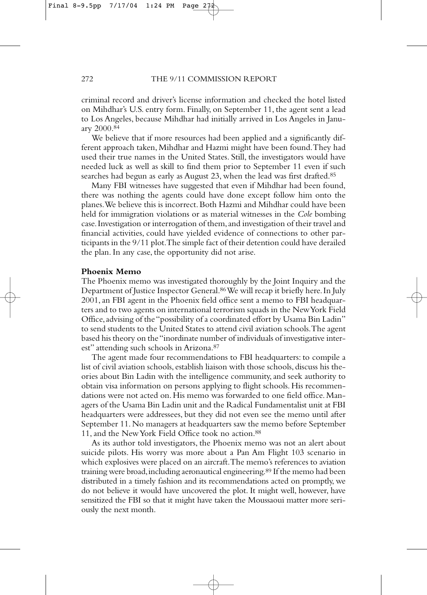criminal record and driver's license information and checked the hotel listed on Mihdhar's U.S. entry form. Finally, on September 11, the agent sent a lead to Los Angeles, because Mihdhar had initially arrived in Los Angeles in January 2000.84

We believe that if more resources had been applied and a significantly different approach taken, Mihdhar and Hazmi might have been found.They had used their true names in the United States. Still, the investigators would have needed luck as well as skill to find them prior to September 11 even if such searches had begun as early as August 23, when the lead was first drafted.<sup>85</sup>

Many FBI witnesses have suggested that even if Mihdhar had been found, there was nothing the agents could have done except follow him onto the planes.We believe this is incorrect. Both Hazmi and Mihdhar could have been held for immigration violations or as material witnesses in the *Cole* bombing case.Investigation or interrogation of them,and investigation of their travel and financial activities, could have yielded evidence of connections to other participants in the 9/11 plot.The simple fact of their detention could have derailed the plan. In any case, the opportunity did not arise.

# **Phoenix Memo**

The Phoenix memo was investigated thoroughly by the Joint Inquiry and the Department of Justice Inspector General.<sup>86</sup> We will recap it briefly here. In July 2001, an FBI agent in the Phoenix field office sent a memo to FBI headquarters and to two agents on international terrorism squads in the New York Field Office, advising of the "possibility of a coordinated effort by Usama Bin Ladin" to send students to the United States to attend civil aviation schools.The agent based his theory on the "inordinate number of individuals of investigative interest" attending such schools in Arizona.87

The agent made four recommendations to FBI headquarters: to compile a list of civil aviation schools, establish liaison with those schools, discuss his theories about Bin Ladin with the intelligence community, and seek authority to obtain visa information on persons applying to flight schools. His recommendations were not acted on. His memo was forwarded to one field office. Managers of the Usama Bin Ladin unit and the Radical Fundamentalist unit at FBI headquarters were addressees, but they did not even see the memo until after September 11. No managers at headquarters saw the memo before September 11, and the New York Field Office took no action.88

As its author told investigators, the Phoenix memo was not an alert about suicide pilots. His worry was more about a Pan Am Flight 103 scenario in which explosives were placed on an aircraft.The memo's references to aviation training were broad, including aeronautical engineering.<sup>89</sup> If the memo had been distributed in a timely fashion and its recommendations acted on promptly, we do not believe it would have uncovered the plot. It might well, however, have sensitized the FBI so that it might have taken the Moussaoui matter more seriously the next month.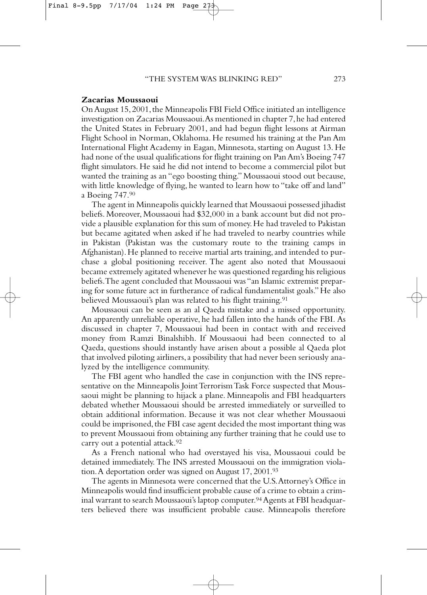#### **Zacarias Moussaoui**

On August 15, 2001, the Minneapolis FBI Field Office initiated an intelligence investigation on Zacarias Moussaoui.As mentioned in chapter 7,he had entered the United States in February 2001, and had begun flight lessons at Airman Flight School in Norman, Oklahoma. He resumed his training at the Pan Am International Flight Academy in Eagan, Minnesota, starting on August 13. He had none of the usual qualifications for flight training on Pan Am's Boeing 747 flight simulators. He said he did not intend to become a commercial pilot but wanted the training as an "ego boosting thing." Moussaoui stood out because, with little knowledge of flying, he wanted to learn how to "take off and land" a Boeing 747.90

The agent in Minneapolis quickly learned that Moussaoui possessed jihadist beliefs. Moreover, Moussaoui had \$32,000 in a bank account but did not provide a plausible explanation for this sum of money.He had traveled to Pakistan but became agitated when asked if he had traveled to nearby countries while in Pakistan (Pakistan was the customary route to the training camps in Afghanistan). He planned to receive martial arts training, and intended to purchase a global positioning receiver. The agent also noted that Moussaoui became extremely agitated whenever he was questioned regarding his religious beliefs.The agent concluded that Moussaoui was "an Islamic extremist preparing for some future act in furtherance of radical fundamentalist goals." He also believed Moussaoui's plan was related to his flight training.<sup>91</sup>

Moussaoui can be seen as an al Qaeda mistake and a missed opportunity. An apparently unreliable operative, he had fallen into the hands of the FBI. As discussed in chapter 7, Moussaoui had been in contact with and received money from Ramzi Binalshibh. If Moussaoui had been connected to al Qaeda, questions should instantly have arisen about a possible al Qaeda plot that involved piloting airliners, a possibility that had never been seriously analyzed by the intelligence community.

The FBI agent who handled the case in conjunction with the INS representative on the Minneapolis Joint Terrorism Task Force suspected that Moussaoui might be planning to hijack a plane. Minneapolis and FBI headquarters debated whether Moussaoui should be arrested immediately or surveilled to obtain additional information. Because it was not clear whether Moussaoui could be imprisoned, the FBI case agent decided the most important thing was to prevent Moussaoui from obtaining any further training that he could use to carry out a potential attack.92

As a French national who had overstayed his visa, Moussaoui could be detained immediately. The INS arrested Moussaoui on the immigration violation.A deportation order was signed on August 17, 2001.93

The agents in Minnesota were concerned that the U.S.Attorney's Office in Minneapolis would find insufficient probable cause of a crime to obtain a criminal warrant to search Moussaoui's laptop computer.<sup>94</sup> Agents at FBI headquarters believed there was insufficient probable cause. Minneapolis therefore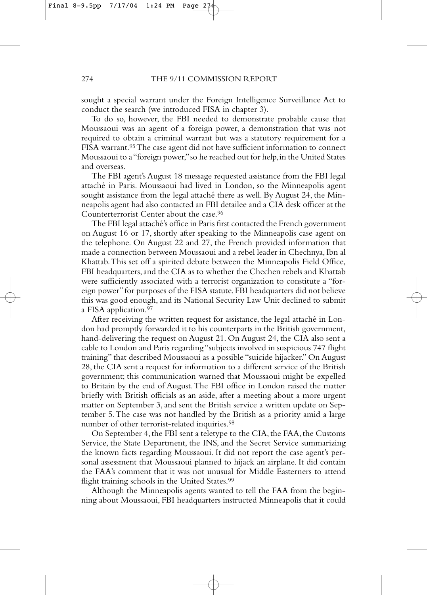sought a special warrant under the Foreign Intelligence Surveillance Act to conduct the search (we introduced FISA in chapter 3).

To do so, however, the FBI needed to demonstrate probable cause that Moussaoui was an agent of a foreign power, a demonstration that was not required to obtain a criminal warrant but was a statutory requirement for a FISA warrant.<sup>95</sup>The case agent did not have sufficient information to connect Moussaoui to a "foreign power,"so he reached out for help,in the United States and overseas.

The FBI agent's August 18 message requested assistance from the FBI legal attaché in Paris. Moussaoui had lived in London, so the Minneapolis agent sought assistance from the legal attaché there as well. By August 24, the Minneapolis agent had also contacted an FBI detailee and a CIA desk officer at the Counterterrorist Center about the case.96

The FBI legal attaché's office in Paris first contacted the French government on August 16 or 17, shortly after speaking to the Minneapolis case agent on the telephone. On August 22 and 27, the French provided information that made a connection between Moussaoui and a rebel leader in Chechnya, Ibn al Khattab.This set off a spirited debate between the Minneapolis Field Office, FBI headquarters, and the CIA as to whether the Chechen rebels and Khattab were sufficiently associated with a terrorist organization to constitute a "foreign power"for purposes of the FISA statute.FBI headquarters did not believe this was good enough, and its National Security Law Unit declined to submit a FISA application.97

After receiving the written request for assistance, the legal attaché in London had promptly forwarded it to his counterparts in the British government, hand-delivering the request on August 21. On August 24, the CIA also sent a cable to London and Paris regarding "subjects involved in suspicious 747 flight training" that described Moussaoui as a possible "suicide hijacker." On August 28, the CIA sent a request for information to a different service of the British government; this communication warned that Moussaoui might be expelled to Britain by the end of August.The FBI office in London raised the matter briefly with British officials as an aside, after a meeting about a more urgent matter on September 3, and sent the British service a written update on September 5.The case was not handled by the British as a priority amid a large number of other terrorist-related inquiries.98

On September 4, the FBI sent a teletype to the CIA, the FAA, the Customs Service, the State Department, the INS, and the Secret Service summarizing the known facts regarding Moussaoui. It did not report the case agent's personal assessment that Moussaoui planned to hijack an airplane. It did contain the FAA's comment that it was not unusual for Middle Easterners to attend flight training schools in the United States.<sup>99</sup>

Although the Minneapolis agents wanted to tell the FAA from the beginning about Moussaoui, FBI headquarters instructed Minneapolis that it could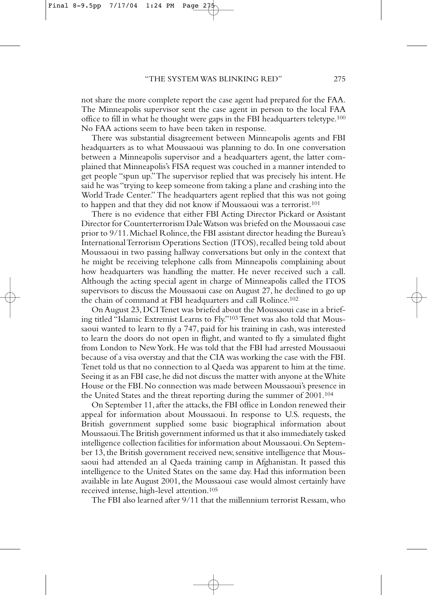not share the more complete report the case agent had prepared for the FAA. The Minneapolis supervisor sent the case agent in person to the local FAA office to fill in what he thought were gaps in the FBI headquarters teletype.100 No FAA actions seem to have been taken in response.

There was substantial disagreement between Minneapolis agents and FBI headquarters as to what Moussaoui was planning to do. In one conversation between a Minneapolis supervisor and a headquarters agent, the latter complained that Minneapolis's FISA request was couched in a manner intended to get people "spun up."The supervisor replied that was precisely his intent. He said he was "trying to keep someone from taking a plane and crashing into the World Trade Center." The headquarters agent replied that this was not going to happen and that they did not know if Moussaoui was a terrorist.<sup>101</sup>

There is no evidence that either FBI Acting Director Pickard or Assistant Director for Counterterrorism Dale Watson was briefed on the Moussaoui case prior to 9/11. Michael Rolince, the FBI assistant director heading the Bureau's International Terrorism Operations Section (ITOS), recalled being told about Moussaoui in two passing hallway conversations but only in the context that he might be receiving telephone calls from Minneapolis complaining about how headquarters was handling the matter. He never received such a call. Although the acting special agent in charge of Minneapolis called the ITOS supervisors to discuss the Moussaoui case on August 27, he declined to go up the chain of command at FBI headquarters and call Rolince.102

On August 23, DCI Tenet was briefed about the Moussaoui case in a briefing titled "Islamic Extremist Learns to Fly."<sup>103</sup> Tenet was also told that Moussaoui wanted to learn to fly a 747, paid for his training in cash, was interested to learn the doors do not open in flight, and wanted to fly a simulated flight from London to New York. He was told that the FBI had arrested Moussaoui because of a visa overstay and that the CIA was working the case with the FBI. Tenet told us that no connection to al Qaeda was apparent to him at the time. Seeing it as an FBI case, he did not discuss the matter with anyone at the White House or the FBI.No connection was made between Moussaoui's presence in the United States and the threat reporting during the summer of 2001.104

On September 11, after the attacks, the FBI office in London renewed their appeal for information about Moussaoui. In response to U.S. requests, the British government supplied some basic biographical information about Moussaoui.The British government informed us that it also immediately tasked intelligence collection facilities for information about Moussaoui.On September 13, the British government received new, sensitive intelligence that Moussaoui had attended an al Qaeda training camp in Afghanistan. It passed this intelligence to the United States on the same day. Had this information been available in late August 2001, the Moussaoui case would almost certainly have received intense, high-level attention.105

The FBI also learned after 9/11 that the millennium terrorist Ressam, who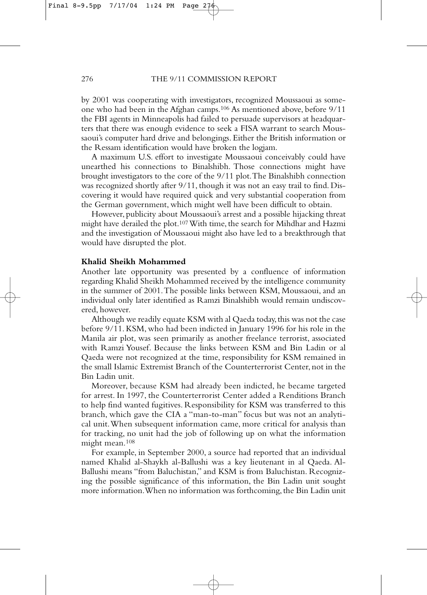by 2001 was cooperating with investigators, recognized Moussaoui as someone who had been in the Afghan camps.106 As mentioned above, before 9/11 the FBI agents in Minneapolis had failed to persuade supervisors at headquarters that there was enough evidence to seek a FISA warrant to search Moussaoui's computer hard drive and belongings. Either the British information or the Ressam identification would have broken the logjam.

A maximum U.S. effort to investigate Moussaoui conceivably could have unearthed his connections to Binalshibh. Those connections might have brought investigators to the core of the 9/11 plot.The Binalshibh connection was recognized shortly after 9/11, though it was not an easy trail to find. Discovering it would have required quick and very substantial cooperation from the German government, which might well have been difficult to obtain.

However, publicity about Moussaoui's arrest and a possible hijacking threat might have derailed the plot.107With time, the search for Mihdhar and Hazmi and the investigation of Moussaoui might also have led to a breakthrough that would have disrupted the plot.

## **Khalid Sheikh Mohammed**

Another late opportunity was presented by a confluence of information regarding Khalid Sheikh Mohammed received by the intelligence community in the summer of 2001.The possible links between KSM, Moussaoui, and an individual only later identified as Ramzi Binalshibh would remain undiscovered, however.

Although we readily equate KSM with al Qaeda today,this was not the case before 9/11. KSM, who had been indicted in January 1996 for his role in the Manila air plot, was seen primarily as another freelance terrorist, associated with Ramzi Yousef. Because the links between KSM and Bin Ladin or al Qaeda were not recognized at the time, responsibility for KSM remained in the small Islamic Extremist Branch of the Counterterrorist Center, not in the Bin Ladin unit.

Moreover, because KSM had already been indicted, he became targeted for arrest. In 1997, the Counterterrorist Center added a Renditions Branch to help find wanted fugitives. Responsibility for KSM was transferred to this branch, which gave the CIA a "man-to-man" focus but was not an analytical unit.When subsequent information came, more critical for analysis than for tracking, no unit had the job of following up on what the information might mean.108

For example, in September 2000, a source had reported that an individual named Khalid al-Shaykh al-Ballushi was a key lieutenant in al Qaeda. Al-Ballushi means "from Baluchistan," and KSM is from Baluchistan. Recognizing the possible significance of this information, the Bin Ladin unit sought more information. When no information was forthcoming, the Bin Ladin unit